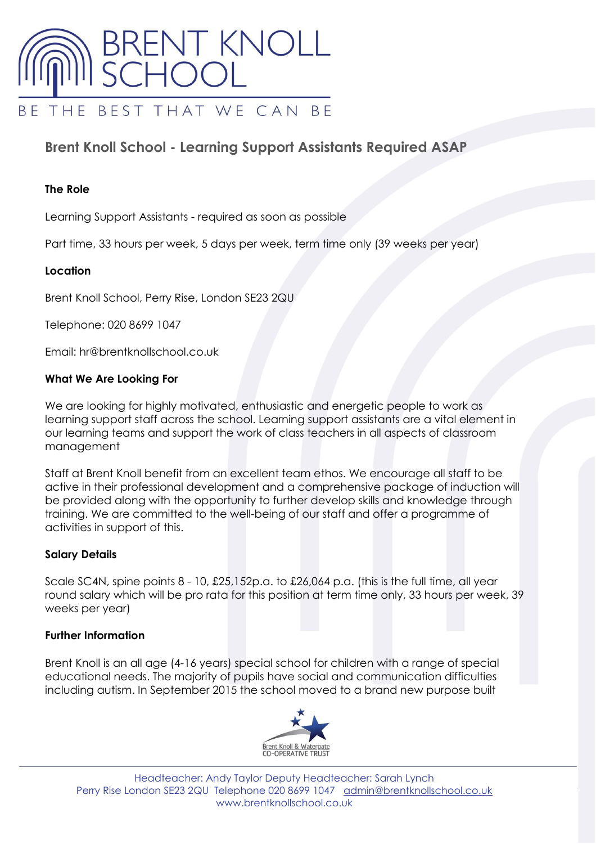

# **Brent Knoll School - Learning Support Assistants Required ASAP**

## **The Role**

Learning Support Assistants - required as soon as possible

Part time, 33 hours per week, 5 days per week, term time only (39 weeks per year)

## **Location**

Brent Knoll School, Perry Rise, London SE23 2QU

Telephone: 020 8699 1047

Email: hr@brentknollschool.co.uk

## **What We Are Looking For**

We are looking for highly motivated, enthusiastic and energetic people to work as learning support staff across the school. Learning support assistants are a vital element in our learning teams and support the work of class teachers in all aspects of classroom management

Staff at Brent Knoll benefit from an excellent team ethos. We encourage all staff to be active in their professional development and a comprehensive package of induction will be provided along with the opportunity to further develop skills and knowledge through training. We are committed to the well-being of our staff and offer a programme of activities in support of this.

## **Salary Details**

Scale SC4N, spine points 8 - 10, £25,152p.a. to £26,064 p.a. (this is the full time, all year round salary which will be pro rata for this position at term time only, 33 hours per week, 39 weeks per year)

## **Further Information**

Brent Knoll is an all age (4-16 years) special school for children with a range of special educational needs. The majority of pupils have social and communication difficulties including autism. In September 2015 the school moved to a brand new purpose built